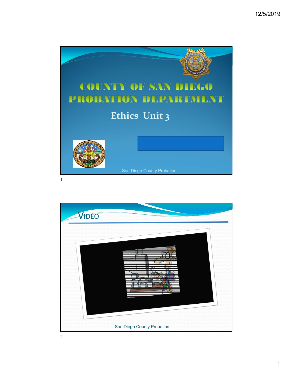

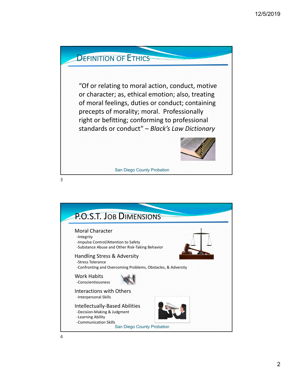

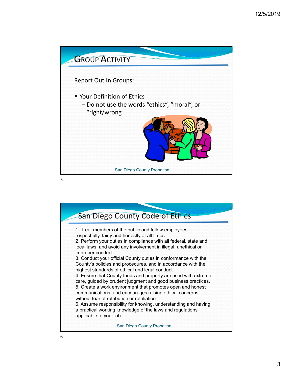

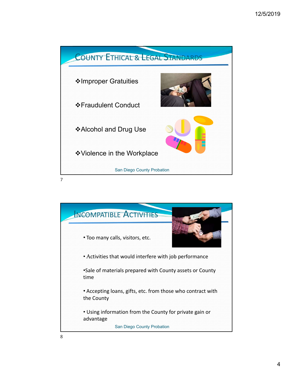

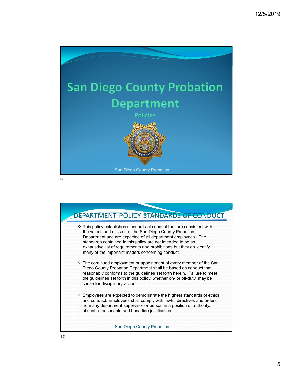



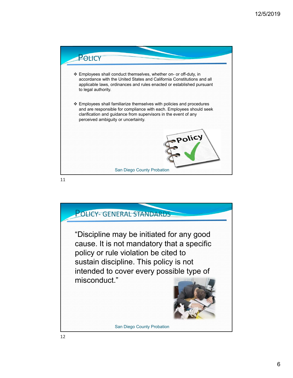

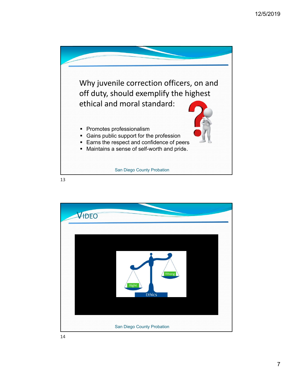

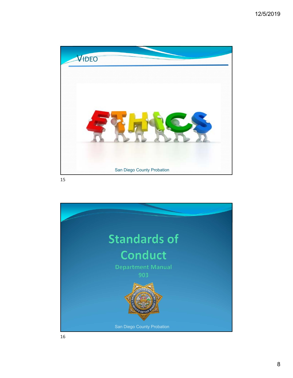

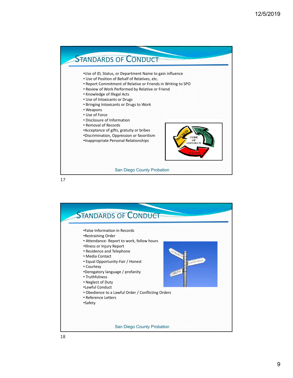

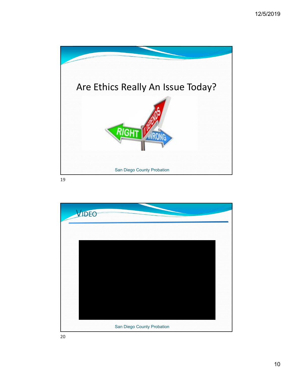

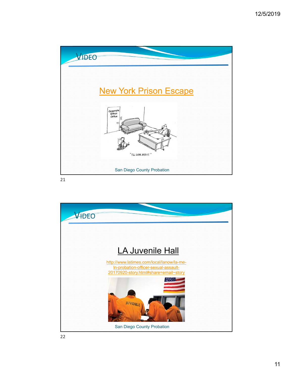

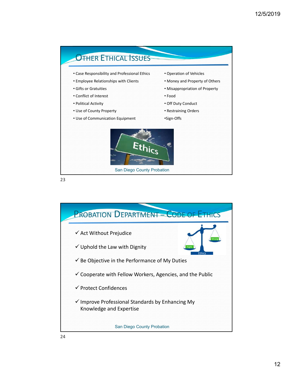

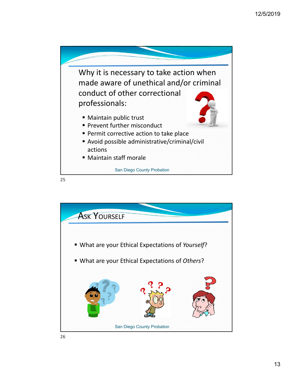

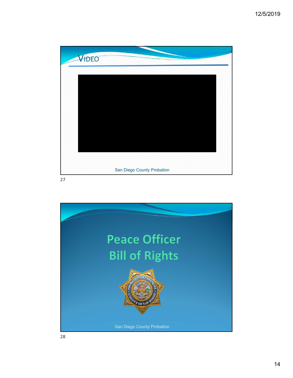

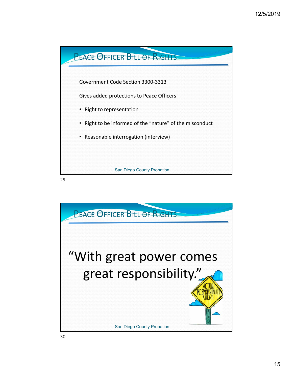

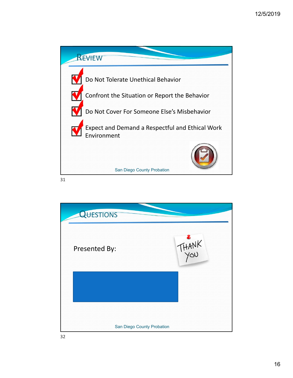